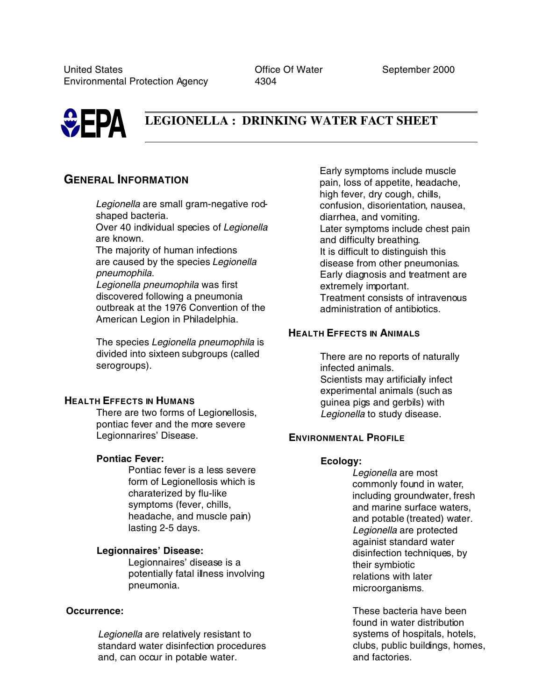

# **LEGIONELLA : DRINKING WATER FACT SHEET**

# **GENERAL INFORMATION**

*Legionella* are small gram-negative rodshaped bacteria.

Over 40 individual species of *Legionella* are known.

The majority of human infections are caused by the species *Legionella pneumophila*.

*Legionella pneumophila* was first discovered following a pneumonia outbreak at the 1976 Convention of the American Legion in Philadelphia.

The species *Legionella pneumophila* is divided into sixteen subgroups (called serogroups).

### **HEALTH EFFECTS IN HUMANS**

There are two forms of Legionellosis, pontiac fever and the more severe Legionnarires' Disease.

### **Pontiac Fever:**

Pontiac fever is a less severe form of Legionellosis which is charaterized by flu-like symptoms (fever, chills, headache, and muscle pain) lasting 2-5 days.

### **Legionnaires' Disease:**

Legionnaires' disease is a potentially fatal illness involving pneumonia.

### **Occurrence:**

*Legionella* are relatively resistant to standard water disinfection procedures and, can occur in potable water.

Early symptoms include muscle pain, loss of appetite, headache, high fever, dry cough, chills, confusion, disorientation, nausea, diarrhea, and vomiting. Later symptoms include chest pain and difficulty breathing. It is difficult to distinguish this disease from other pneumonias. Early diagnosis and treatment are extremely important. Treatment consists of intravenous administration of antibiotics.

## **HEALTH EFFECTS IN ANIMALS**

There are no reports of naturally infected animals. Scientists may artificially infect experimental animals (such as guinea pigs and gerbils) with *Legionella* to study disease.

### **ENVIRONMENTAL PROFILE**

### **Ecology:**

*Legionella* are most commonly found in water, including groundwater, fresh and marine surface waters, and potable (treated) water. *Legionella* are protected againist standard water disinfection techniques, by their symbiotic relations with later microorganisms.

These bacteria have been found in water distribution systems of hospitals, hotels, clubs, public buildings, homes, and factories.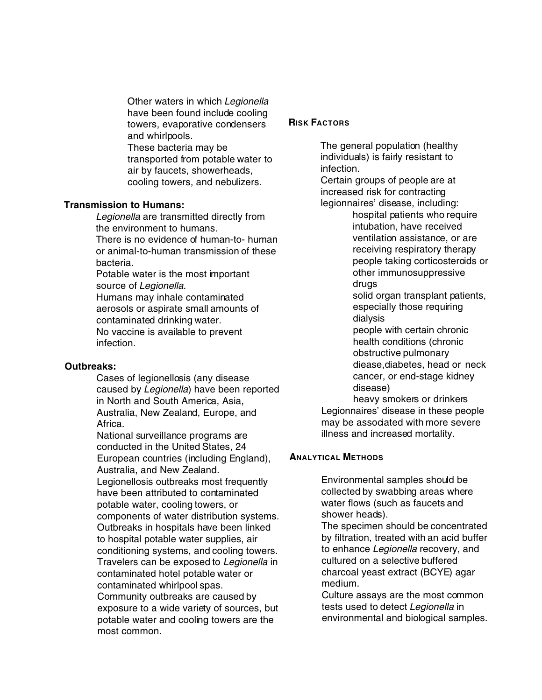Other waters in which *Legionella* have been found include cooling towers, evaporative condensers and whirlpools.

These bacteria may be transported from potable water to air by faucets, showerheads, cooling towers, and nebulizers.

### **Transmission to Humans:**

*Legionella* are transmitted directly from the environment to humans.

There is no evidence of human-to- human or animal-to-human transmission of these bacteria.

Potable water is the most important source of *Legionella*.

Humans may inhale contaminated aerosols or aspirate small amounts of contaminated drinking water. No vaccine is available to prevent infection.

### **Outbreaks:**

Cases of legionellosis (any disease caused by *Legionella*) have been reported in North and South America, Asia, Australia, New Zealand, Europe, and Africa.

National surveillance programs are conducted in the United States, 24 European countries (including England), Australia, and New Zealand. Legionellosis outbreaks most frequently have been attributed to contaminated potable water, cooling towers, or components of water distribution systems. Outbreaks in hospitals have been linked to hospital potable water supplies, air conditioning systems, and cooling towers. Travelers can be exposed to *Legionella* in contaminated hotel potable water or contaminated whirlpool spas. Community outbreaks are caused by exposure to a wide variety of sources, but potable water and cooling towers are the most common.

### **RISK FACTORS**

The general population (healthy individuals) is fairly resistant to infection.

Certain groups of people are at increased risk for contracting legionnaires' disease, including:

hospital patients who require intubation, have received ventilation assistance, or are receiving respiratory therapy people taking corticosteroids or other immunosuppressive drugs

solid organ transplant patients, especially those requiring dialysis

people with certain chronic health conditions (chronic obstructive pulmonary diease,diabetes, head or neck cancer, or end-stage kidney disease)

heavy smokers or drinkers Legionnaires' disease in these people may be associated with more severe illness and increased mortality.

### **ANALYTICAL METHODS**

Environmental samples should be collected by swabbing areas where water flows (such as faucets and shower heads).

The specimen should be concentrated by filtration, treated with an acid buffer to enhance *Legionella* recovery, and cultured on a selective buffered charcoal yeast extract (BCYE) agar medium.

Culture assays are the most common tests used to detect *Legionella* in environmental and biological samples.